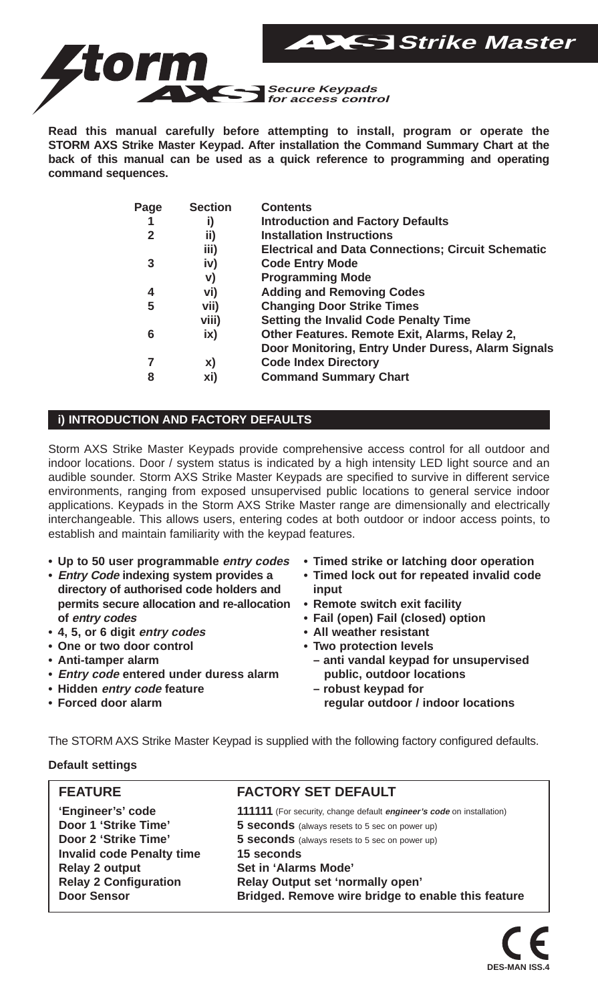

**Read this manual carefully before attempting to install, program or operate the STORM AXS Strike Master Keypad. After installation the Command Summary Chart at the back of this manual can be used as a quick reference to programming and operating command sequences.**

| Page | <b>Section</b> | <b>Contents</b>                                           |
|------|----------------|-----------------------------------------------------------|
| 1    | i)             | <b>Introduction and Factory Defaults</b>                  |
| 2    | ii)            | <b>Installation Instructions</b>                          |
|      | iii)           | <b>Electrical and Data Connections: Circuit Schematic</b> |
| 3    | iv)            | <b>Code Entry Mode</b>                                    |
|      | V)             | <b>Programming Mode</b>                                   |
| 4    | vi)            | <b>Adding and Removing Codes</b>                          |
| 5    | vii)           | <b>Changing Door Strike Times</b>                         |
|      | viii)          | Setting the Invalid Code Penalty Time                     |
| 6    | ix)            | Other Features. Remote Exit, Alarms, Relay 2,             |
|      |                | Door Monitoring, Entry Under Duress, Alarm Signals        |
| 7    | X)             | <b>Code Index Directory</b>                               |
| 8    | xi)            | <b>Command Summary Chart</b>                              |
|      |                |                                                           |

## **i) INTRODUCTION AND FACTORY DEFAULTS**

Storm AXS Strike Master Keypads provide comprehensive access control for all outdoor and indoor locations. Door / system status is indicated by a high intensity LED light source and an audible sounder. Storm AXS Strike Master Keypads are specified to survive in different service environments, ranging from exposed unsupervised public locations to general service indoor applications. Keypads in the Storm AXS Strike Master range are dimensionally and electrically interchangeable. This allows users, entering codes at both outdoor or indoor access points, to establish and maintain familiarity with the keypad features.

- **• Up to 50 user programmable entry codes**
- **• Entry Code indexing system provides a directory of authorised code holders and permits secure allocation and re-allocation of entry codes**
- **• 4, 5, or 6 digit entry codes**
- **• One or two door control**
- **• Anti-tamper alarm**
- **• Entry code entered under duress alarm**
- **• Hidden entry code feature**
- **• Forced door alarm**
- **Timed strike or latching door operation**
- **Timed lock out for repeated invalid code input**
- **Remote switch exit facility**
- **• Fail (open) Fail (closed) option**
- **• All weather resistant**
- **Two protection levels**
	- **anti vandal keypad for unsupervised public, outdoor locations**
	- **robust keypad for regular outdoor / indoor locations**

The STORM AXS Strike Master Keypad is supplied with the following factory configured defaults.

**Default settings**

| <b>FEATURE</b>                   | <b>FACTORY SET DEFAULT</b>                                                   |
|----------------------------------|------------------------------------------------------------------------------|
| 'Engineer's' code                | 111111 (For security, change default <i>engineer's code</i> on installation) |
| Door 1 'Strike Time'             | 5 seconds (always resets to 5 sec on power up)                               |
| Door 2 'Strike Time'             | 5 seconds (always resets to 5 sec on power up)                               |
| <b>Invalid code Penalty time</b> | 15 seconds                                                                   |
| Relay 2 output                   | Set in 'Alarms Mode'                                                         |
| <b>Relay 2 Configuration</b>     | Relay Output set 'normally open'                                             |
| Door Sensor                      | Bridged. Remove wire bridge to enable this feature                           |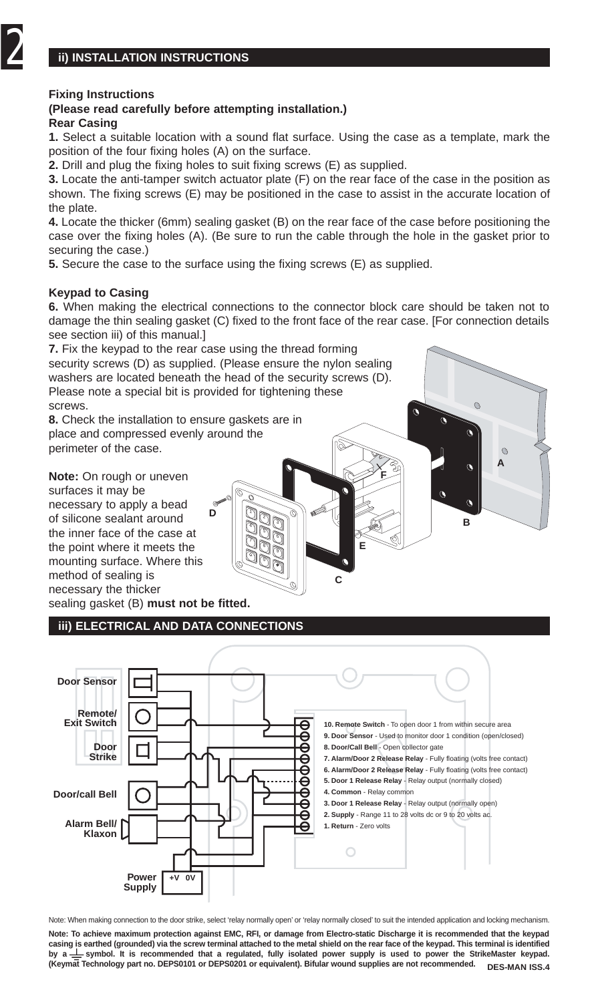#### **Fixing Instructions**

#### **(Please read carefully before attempting installation.) Rear Casing**

**1.** Select a suitable location with a sound flat surface. Using the case as a template, mark the position of the four fixing holes (A) on the surface.

**2.** Drill and plug the fixing holes to suit fixing screws (E) as supplied.

**3.** Locate the anti-tamper switch actuator plate (F) on the rear face of the case in the position as shown. The fixing screws (E) may be positioned in the case to assist in the accurate location of the plate.

**4.** Locate the thicker (6mm) sealing gasket (B) on the rear face of the case before positioning the case over the fixing holes (A). (Be sure to run the cable through the hole in the gasket prior to securing the case.)

**5.** Secure the case to the surface using the fixing screws (E) as supplied.

#### **Keypad to Casing**

**6.** When making the electrical connections to the connector block care should be taken not to damage the thin sealing gasket (C) fixed to the front face of the rear case. [For connection details see section iii) of this manual.

**A**

 $\Omega$ 

**B**

 $\mathfrak{a}$  $\mathbf{\hat{a}}$   $\alpha$ 

 $\alpha$ 

 $\mathcal{O}$ 

**7.** Fix the keypad to the rear case using the thread forming security screws (D) as supplied. (Please ensure the nylon sealing washers are located beneath the head of the security screws (D). Please note a special bit is provided for tightening these screws.

**D**

1 3 ก 16, 7 ขิค

**8.** Check the installation to ensure gaskets are in place and compressed evenly around the perimeter of the case.

**Note:** On rough or uneven surfaces it may be necessary to apply a bead of silicone sealant around the inner face of the case at the point where it meets the mounting surface. Where this method of sealing is necessary the thicker sealing gasket (B) **must not be fitted.**

**iii) ELECTRICAL AND DATA CONNECTIONS**



**C**

**E**

**F**

 $\mathfrak{a}$ 

Note: When making connection to the door strike, select 'relay normally open' or 'relay normally closed' to suit the intended application and locking mechanism.

**Note: To achieve maximum protection against EMC, RFI, or damage from Electro-static Discharge it is recommended that the keypad casing is earthed (grounded) via the screw terminal attached to the metal shield on the rear face of the keypad. This terminal is identified** by a  $\frac{1}{x}$  symbol. It is recommended that a regulated, fully isolated power supply is used to power the StrikeMaster keypad. **(Keymat Technology part no. DEPS0101 or DEPS0201 or equivalent). Bifular wound supplies are not recommended. DES-MAN ISS.4**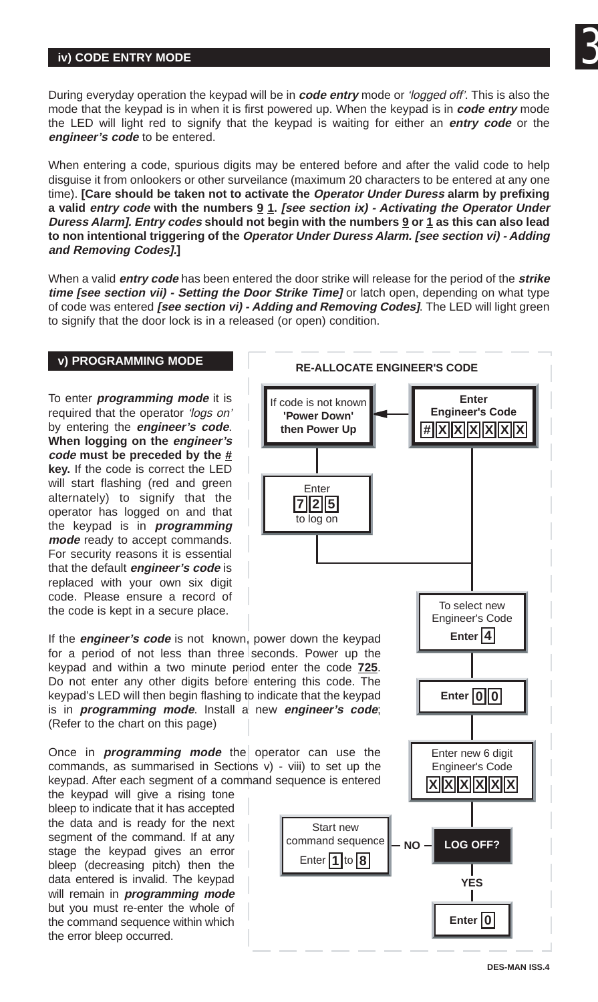## **iv) CODE ENTRY MODE**

3

During everyday operation the keypad will be in **code entry** mode or 'logged off'. This is also the mode that the keypad is in when it is first powered up. When the keypad is in **code entry** mode the LED will light red to signify that the keypad is waiting for either an **entry code** or the **engineer's code** to be entered.

When entering a code, spurious digits may be entered before and after the valid code to help disguise it from onlookers or other surveilance (maximum 20 characters to be entered at any one time). **[Care should be taken not to activate the Operator Under Duress alarm by prefixing a valid entry code with the numbers 9 1. [see section ix) - Activating the Operator Under Duress Alarm]. Entry codes should not begin with the numbers 9 or 1 as this can also lead to non intentional triggering of the Operator Under Duress Alarm. [see section vi) - Adding and Removing Codes].]**

When a valid **entry code** has been entered the door strike will release for the period of the **strike time [see section vii) - Setting the Door Strike Time]** or latch open, depending on what type of code was entered **[see section vi) - Adding and Removing Codes]**. The LED will light green to signify that the door lock is in a released (or open) condition.

### **v) PROGRAMMING MODE**

To enter **programming mode** it is required that the operator 'logs on' by entering the **engineer's code**. **When logging on the engineer's code must be preceded by the # key.** If the code is correct the LED will start flashing (red and green alternately) to signify that the operator has logged on and that the keypad is in **programming mode** ready to accept commands. For security reasons it is essential that the default **engineer's code** is replaced with your own six digit code. Please ensure a record of the code is kept in a secure place.



If the **engineer's code** is not known, power down the keypad for a period of not less than three seconds. Power up the keypad and within a two minute period enter the code **725**. Do not enter any other digits before entering this code. The keypad's LED will then begin flashing to indicate that the keypad is in **programming mode**. Install a new **engineer's code**; (Refer to the chart on this page)

Once in **programming mode** the operator can use the commands, as summarised in Sections v) - viii) to set up the keypad. After each segment of a command sequence is entered

the keypad will give a rising tone bleep to indicate that it has accepted the data and is ready for the next segment of the command. If at any stage the keypad gives an error bleep (decreasing pitch) then the data entered is invalid. The keypad will remain in **programming mode** but you must re-enter the whole of the command sequence within which the error bleep occurred.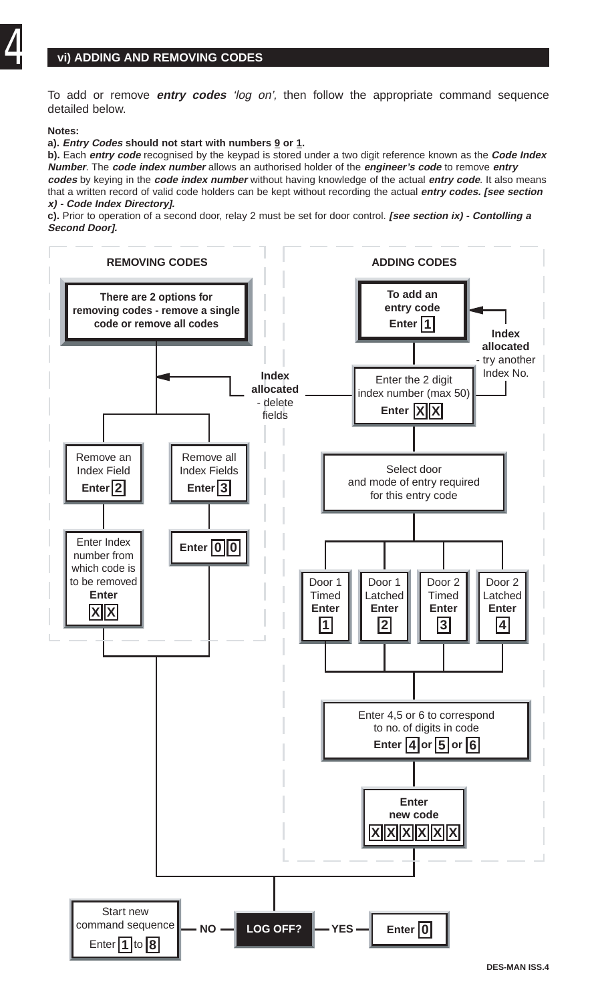## **vi) ADDING AND REMOVING CODES**

To add or remove **entry codes** 'log on', then follow the appropriate command sequence detailed below.

#### **Notes:**

#### **a). Entry Codes should not start with numbers 9 or 1.**

**b).** Each **entry code** recognised by the keypad is stored under a two digit reference known as the **Code Index Number**. The **code index number** allows an authorised holder of the **engineer's code** to remove **entry codes** by keying in the **code index number** without having knowledge of the actual **entry code**. It also means that a written record of valid code holders can be kept without recording the actual **entry codes. [see section x) - Code Index Directory].**

**c).** Prior to operation of a second door, relay 2 must be set for door control. **[see section ix) - Contolling a Second Door].**

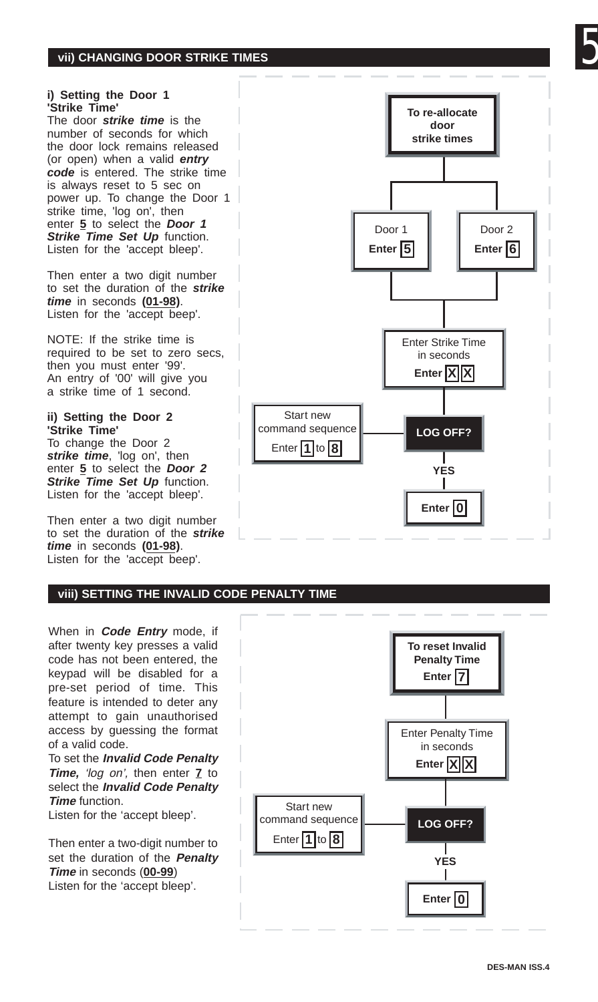## **vii) CHANGING DOOR STRIKE TIMES**

#### **i) Setting the Door 1 'Strike Time'**

The door **strike time** is the number of seconds for which the door lock remains released (or open) when a valid **entry code** is entered. The strike time is always reset to 5 sec on power up. To change the Door 1 strike time. 'Iog on', then enter **5** to select the **Door 1 Strike Time Set Up** function. Listen for the 'accept bleep'.

Then enter a two digit number to set the duration of the **strike time** in seconds **(01-98)**. Listen for the 'accept beep'.

NOTE: If the strike time is required to be set to zero secs, then you must enter '99'. An entry of '00' will give you a strike time of 1 second.

#### **ii) Setting the Door 2 'Strike Time'**

To change the Door 2 **strike time**, 'log on', then enter **5** to select the **Door 2 Strike Time Set Up** function. Listen for the 'accept bleep'.

Then enter a two digit number to set the duration of the **strike time** in seconds **(01-98)**. Listen for the 'accept beep'.



**To re-allocate door**

#### **viii) SETTING THE INVALID CODE PENALTY TIME**

When in **Code Entry** mode, if after twenty key presses a valid code has not been entered, the keypad will be disabled for a pre-set period of time. This feature is intended to deter any attempt to gain unauthorised access by guessing the format of a valid code.

To set the **Invalid Code Penalty Time,** 'log on', then enter **7** to select the **Invalid Code Penalty Time** function.

Listen for the 'accept bleep'.

Then enter a two-digit number to set the duration of the **Penalty Time** in seconds (**00-99**) Listen for the 'accept bleep'.

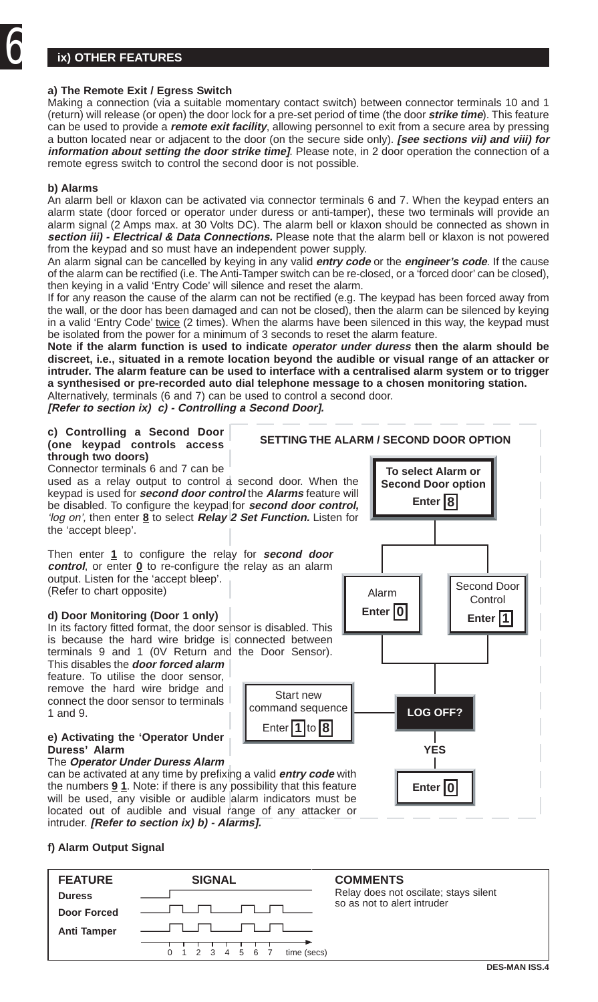## **ix) OTHER FEATURES**

#### **a) The Remote Exit / Egress Switch**

Making a connection (via a suitable momentary contact switch) between connector terminals 10 and 1 (return) will release (or open) the door lock for a pre-set period of time (the door **strike time**). This feature can be used to provide a **remote exit facility**, allowing personnel to exit from a secure area by pressing a button located near or adjacent to the door (on the secure side only). **[see sections vii) and viii) for information about setting the door strike time]**. Please note, in 2 door operation the connection of a remote egress switch to control the second door is not possible.

#### **b) Alarms**

An alarm bell or klaxon can be activated via connector terminals 6 and 7. When the keypad enters an alarm state (door forced or operator under duress or anti-tamper), these two terminals will provide an alarm signal (2 Amps max. at 30 Volts DC). The alarm bell or klaxon should be connected as shown in **section iii) - Electrical & Data Connections.** Please note that the alarm bell or klaxon is not powered from the keypad and so must have an independent power supply.

An alarm signal can be cancelled by keying in any valid **entry code** or the **engineer's code**. If the cause of the alarm can be rectified (i.e. The Anti-Tamper switch can be re-closed, or a 'forced door' can be closed), then keying in a valid 'Entry Code' will silence and reset the alarm.

If for any reason the cause of the alarm can not be rectified (e.g. The keypad has been forced away from the wall, or the door has been damaged and can not be closed), then the alarm can be silenced by keying in a valid 'Entry Code' twice (2 times). When the alarms have been silenced in this way, the keypad must be isolated from the power for a minimum of 3 seconds to reset the alarm feature.

**Note if the alarm function is used to indicate operator under duress then the alarm should be discreet, i.e., situated in a remote location beyond the audible or visual range of an attacker or intruder. The alarm feature can be used to interface with a centralised alarm system or to trigger a synthesised or pre-recorded auto dial telephone message to a chosen monitoring station.** Alternatively, terminals (6 and 7) can be used to control a second door.

**[Refer to section ix) c) - Controlling a Second Door].**



#### **f) Alarm Output Signal**

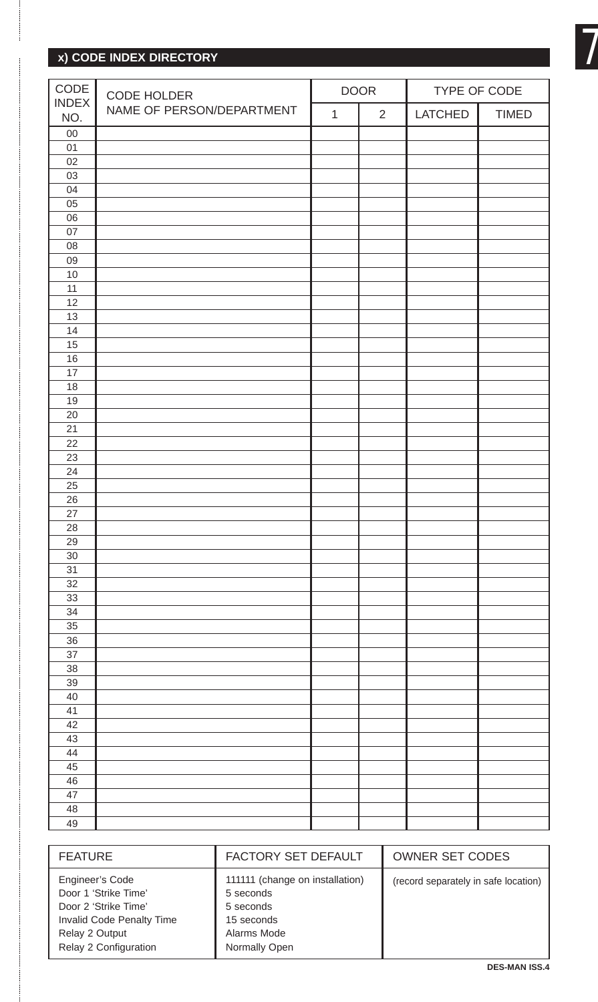## **x) CODE INDEX DIRECTORY**

| CODE<br><b>INDEX</b> | CODE HOLDER<br>NAME OF PERSON/DEPARTMENT | <b>DOOR</b>  |                | TYPE OF CODE |              |
|----------------------|------------------------------------------|--------------|----------------|--------------|--------------|
| NO.                  |                                          | $\mathbf{1}$ | $\overline{2}$ | LATCHED      | <b>TIMED</b> |
| 00                   |                                          |              |                |              |              |
| 01                   |                                          |              |                |              |              |
| 02                   |                                          |              |                |              |              |
| 03                   |                                          |              |                |              |              |
| 04                   |                                          |              |                |              |              |
| 05                   |                                          |              |                |              |              |
| 06                   |                                          |              |                |              |              |
| 07                   |                                          |              |                |              |              |
| 08                   |                                          |              |                |              |              |
| 09                   |                                          |              |                |              |              |
| 10                   |                                          |              |                |              |              |
| 11                   |                                          |              |                |              |              |
| 12                   |                                          |              |                |              |              |
| 13                   |                                          |              |                |              |              |
| 14                   |                                          |              |                |              |              |
| 15                   |                                          |              |                |              |              |
| 16                   |                                          |              |                |              |              |
| 17                   |                                          |              |                |              |              |
| 18                   |                                          |              |                |              |              |
| 19                   |                                          |              |                |              |              |
| 20                   |                                          |              |                |              |              |
| 21                   |                                          |              |                |              |              |
| 22                   |                                          |              |                |              |              |
| 23                   |                                          |              |                |              |              |
| 24                   |                                          |              |                |              |              |
| 25                   |                                          |              |                |              |              |
| 26                   |                                          |              |                |              |              |
| 27                   |                                          |              |                |              |              |
| 28                   |                                          |              |                |              |              |
| 29                   |                                          |              |                |              |              |
| 30                   |                                          |              |                |              |              |
| 31                   |                                          |              |                |              |              |
| 32                   |                                          |              |                |              |              |
| 33                   |                                          |              |                |              |              |
| 34                   |                                          |              |                |              |              |
| 35                   |                                          |              |                |              |              |
| 36                   |                                          |              |                |              |              |
| 37                   |                                          |              |                |              |              |
| 38                   |                                          |              |                |              |              |
| 39                   |                                          |              |                |              |              |
| 40                   |                                          |              |                |              |              |
| 41                   |                                          |              |                |              |              |
| 42                   |                                          |              |                |              |              |
| 43                   |                                          |              |                |              |              |
| 44                   |                                          |              |                |              |              |
| $\overline{45}$      |                                          |              |                |              |              |
| 46                   |                                          |              |                |              |              |
| 47                   |                                          |              |                |              |              |
| 48                   |                                          |              |                |              |              |
| 49                   |                                          |              |                |              |              |

| <b>FEATURE</b>                                                                                                                          | FACTORY SET DEFAULT                                                                                     | <b>OWNER SET CODES</b>               |
|-----------------------------------------------------------------------------------------------------------------------------------------|---------------------------------------------------------------------------------------------------------|--------------------------------------|
| Engineer's Code<br>Door 1 'Strike Time'<br>Door 2 'Strike Time'<br>Invalid Code Penalty Time<br>Relay 2 Output<br>Relay 2 Configuration | 111111 (change on installation)<br>5 seconds<br>5 seconds<br>15 seconds<br>Alarms Mode<br>Normally Open | (record separately in safe location) |